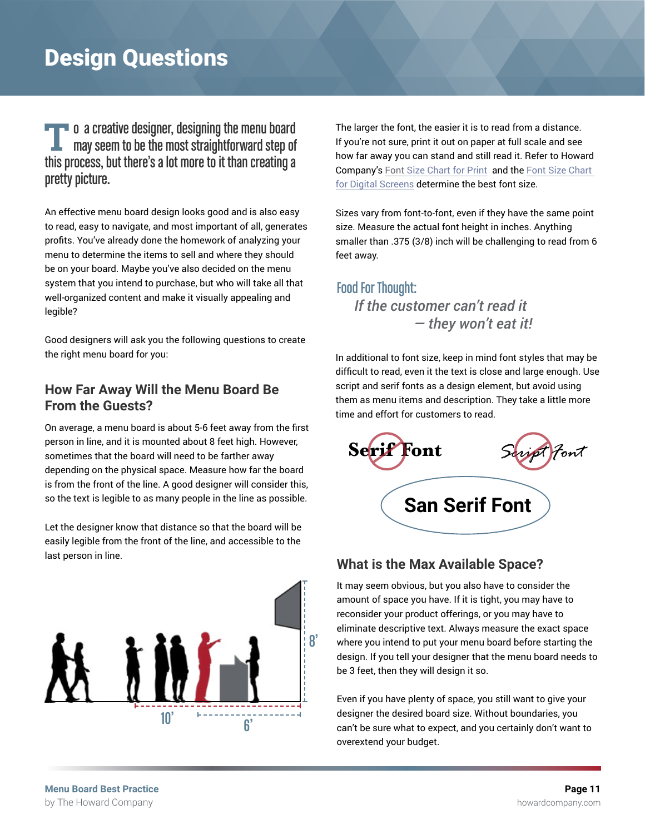# Design Questions

**To a creative designer, designing the menu board<br>
may seem to be the most straightforward step of** this process, but there's a lot more to it than creating a pretty picture.

An effective menu board design looks good and is also easy to read, easy to navigate, and most important of all, generates profits. You've already done the homework of analyzing your menu to determine the items to sell and where they should be on your board. Maybe you've also decided on the menu system that you intend to purchase, but who will take all that well-organized content and make it visually appealing and legible?

Good designers will ask you the following questions to create the right menu board for you:

### **How Far Away Will the Menu Board Be From the Guests?**

On average, a menu board is about 5-6 feet away from the first person in line, and it is mounted about 8 feet high. However, sometimes that the board will need to be farther away depending on the physical space. Measure how far the board is from the front of the line. A good designer will consider this, so the text is legible to as many people in the line as possible.

Let the designer know that distance so that the board will be easily legible from the front of the line, and accessible to the last person in line.



The larger the font, the easier it is to read from a distance. If you're not sure, print it out on paper at full scale and see how far away you can stand and still read it. Refer to Howard Company's [Font](https://www.howardcompany.com/hubfs/Menu%20Design%20Resources/Font%20Size%20Chart%20for%20MB.pdf) Size Chart for Print and the [Font Size Chart](https://www.howardcompany.com/hubfs/Menu%20Design%20Resources/DIGITAL%20FONT%20CHEATSHEET.jpg)  [for Digital Screens](https://www.howardcompany.com/hubfs/Menu%20Design%20Resources/DIGITAL%20FONT%20CHEATSHEET.jpg) determine the best font size.

Sizes vary from font-to-font, even if they have the same point size. Measure the actual font height in inches. Anything smaller than .375 (3/8) inch will be challenging to read from 6 feet away.

## Food For Thought:  *If the customer can't read it — they won't eat it!*

In additional to font size, keep in mind font styles that may be difficult to read, even it the text is close and large enough. Use script and serif fonts as a design element, but avoid using them as menu items and description. They take a little more time and effort for customers to read.



### **What is the Max Available Space?**

It may seem obvious, but you also have to consider the amount of space you have. If it is tight, you may have to reconsider your product offerings, or you may have to eliminate descriptive text. Always measure the exact space where you intend to put your menu board before starting the design. If you tell your designer that the menu board needs to be 3 feet, then they will design it so.

Even if you have plenty of space, you still want to give your designer the desired board size. Without boundaries, you can't be sure what to expect, and you certainly don't want to overextend your budget.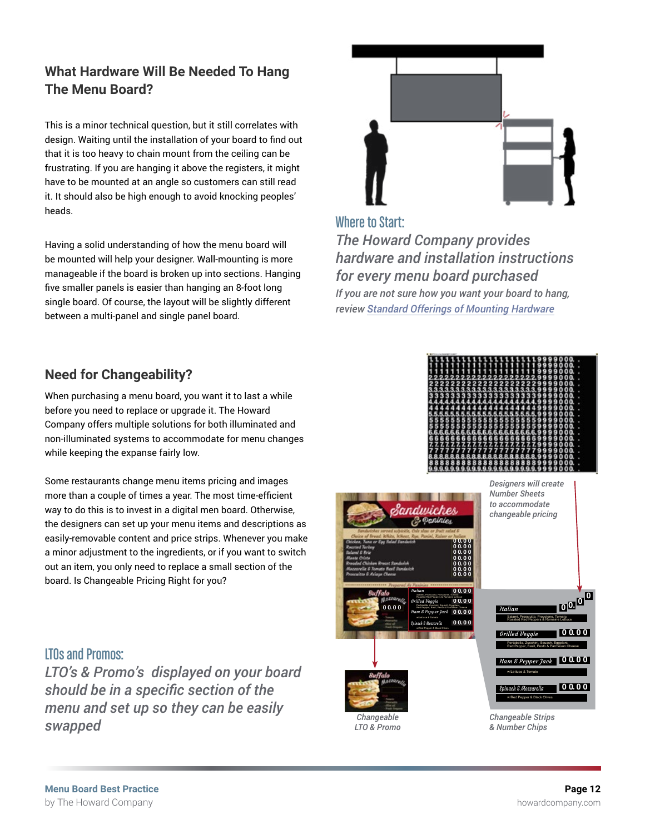## **What Hardware Will Be Needed To Hang The Menu Board?**

This is a minor technical question, but it still correlates with design. Waiting until the installation of your board to find out that it is too heavy to chain mount from the ceiling can be frustrating. If you are hanging it above the registers, it might have to be mounted at an angle so customers can still read it. It should also be high enough to avoid knocking peoples' heads.

Having a solid understanding of how the menu board will be mounted will help your designer. Wall-mounting is more manageable if the board is broken up into sections. Hanging five smaller panels is easier than hanging an 8-foot long single board. Of course, the layout will be slightly different between a multi-panel and single panel board.

## **Need for Changeability?**

When purchasing a menu board, you want it to last a while before you need to replace or upgrade it. The Howard Company offers multiple solutions for both illuminated and non-illuminated systems to accommodate for menu changes while keeping the expanse fairly low.

Some restaurants change menu items pricing and images more than a couple of times a year. The most time-efficient way to do this is to invest in a digital men board. Otherwise, the designers can set up your menu items and descriptions as easily-removable content and price strips. Whenever you make a minor adjustment to the ingredients, or if you want to switch out an item, you only need to replace a small section of the board. Is Changeable Pricing Right for you?

### LTOs and Promos:

*LTO's & Promo's displayed on your board should be in a specific section of the menu and set up so they can be easily swapped*



### Where to Start:

*The Howard Company provides hardware and installation instructions for every menu board purchased If you are not sure how you want your board to hang, review [Standard Offerings of Mounting Hardware](https://www.howardcompany.com/hubfs/Menu%20Design%20Resources/Mounting%20Guide.pdf)*



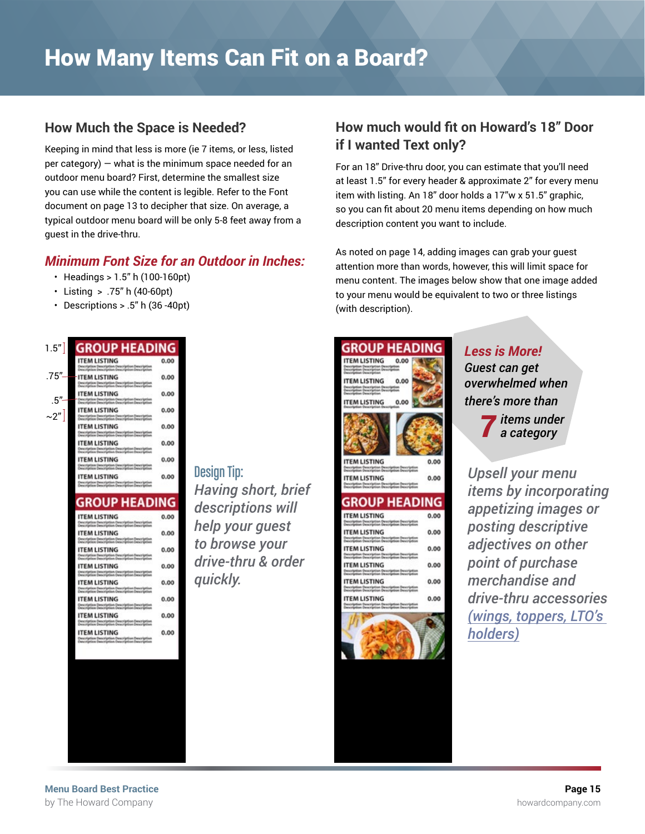# How Many Items Can Fit on a Board?

### **How Much the Space is Needed?**

Keeping in mind that less is more (ie 7 items, or less, listed per category) — what is the minimum space needed for an outdoor menu board? First, determine the smallest size you can use while the content is legible. Refer to the Font document on page 13 to decipher that size. On average, a typical outdoor menu board will be only 5-8 feet away from a guest in the drive-thru.

### *Minimum Font Size for an Outdoor in Inches:*

- Headings > 1.5" h (100-160pt)
- Listing  $> .75"$  h (40-60pt)
- Descriptions  $> 0.5$ " h (36 -40pt)



# Design Tip: *Having short, brief*

*descriptions will help your guest to browse your drive-thru & order quickly.* 

| <b>GROUP HEADING</b>                                                                                                                                  |      |
|-------------------------------------------------------------------------------------------------------------------------------------------------------|------|
| <b>ITEM LISTING</b><br>0.00<br><b>Constitute (Heariptien Description)</b><br>Description Description Description<br>Description Description           |      |
| <b>ITEM LISTING</b><br>0.00<br>:<br>Description Description Description<br>Description Description Description                                        |      |
| <b>ITEM LISTING</b><br>0.00<br>cristian Ownerian                                                                                                      |      |
|                                                                                                                                                       |      |
| ITEM LISTING<br>dion Description Description                                                                                                          | 0.00 |
| ITEM LISTING<br>Description Description Description Description<br>Description Description Description Description                                    | 0.00 |
|                                                                                                                                                       |      |
| <b>GROUP HEADING</b>                                                                                                                                  |      |
| <b>ITEM LISTING</b>                                                                                                                                   | 0.00 |
| <b>Description Description Description Description</b><br>Description Description Description Description<br>ITEM LISTING                             | 0.00 |
| cription Description Description Description<br>cription Description Description Description<br><b>ITEM LISTING</b>                                   | 0.00 |
| dian Description Desiri<br>dian Description Desiri<br>ITEM LISTING                                                                                    | 0.00 |
| <b>Iption Description Description</b><br>ITEM LISTING<br>cription Description Description Description<br>cription Description Description Description | 0.00 |
| ITEM LISTING<br>cription Description Description Description<br>mission Description Description Description                                           | 0.00 |

# **How much would fit on Howard's 18" Door if I wanted Text only?**

For an 18" Drive-thru door, you can estimate that you'll need at least 1.5" for every header & approximate 2" for every menu item with listing. An 18" door holds a 17"w x 51.5" graphic, so you can fit about 20 menu items depending on how much description content you want to include.

As noted on page 14, adding images can grab your guest attention more than words, however, this will limit space for menu content. The images below show that one image added to your menu would be equivalent to two or three listings (with description).



*Upsell your menu items by incorporating appetizing images or posting descriptive adjectives on other point of purchase merchandise and drive-thru accessories [\(wings, toppers, LTO's](https://www.howardcompany.com/products/drive-thru-solutions/drive-thru-accessories)  [holders\)](https://www.howardcompany.com/products/drive-thru-solutions/drive-thru-accessories)*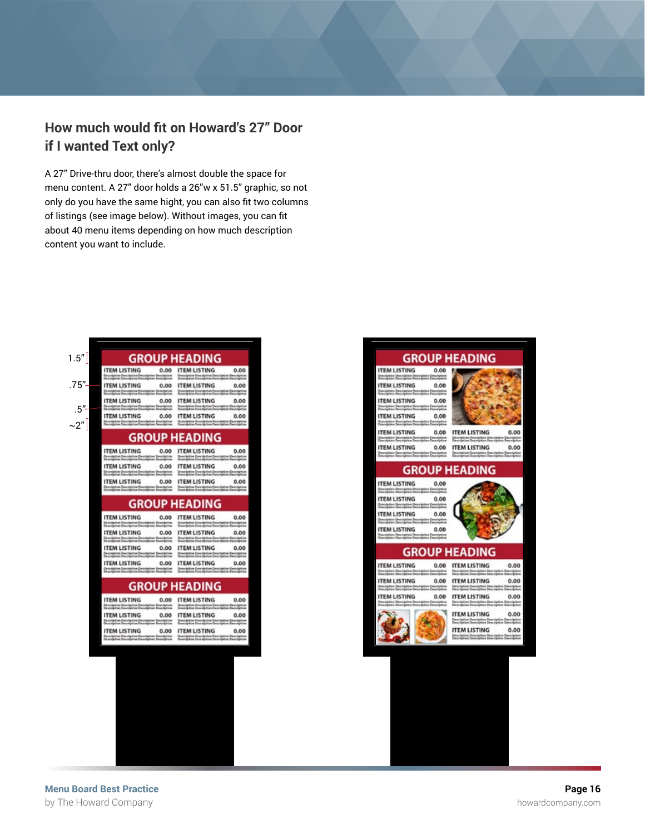## **How much would fit on Howard's 27" Door if I wanted Text only?**

A 27" Drive-thru door, there's almost double the space for menu content. A 27" door holds a 26"w x 51.5" graphic, so not only do you have the same hight, you can also fit two columns of listings (see image below). Without images, you can fit about 40 menu items depending on how much description content you want to include.

| <b>ITEM LISTING</b><br>0.00<br><b>ITEM LISTING</b><br>0.00<br>Ewaczystian Deacelystian Ewaczystian Ewaczystian<br>Ewaczystian Deacelystian Deacelystian Deacelystian<br>Description Description Description<br>Description Description Description<br><b>Description</b><br>Description<br><b>ITEM LISTING</b><br><b>ITEM LISTING</b><br>0.00<br>0.00<br>Description Description Descri<br>Description Description Descri<br>Description Description Description<br>Description Description Description<br>a Description<br>a Description<br>escription<br>excription<br><b>ITEM LISTING</b><br>0.00<br><b>ITEM LISTING</b><br>0.00<br>Description Description Deux<br>Description Description Desc<br>ra ription<br>scription<br>Description Deuxiption Descri<br>Description Deuxiption Descri<br>surgeus<br><b>ITEM LISTING</b><br><b>ITEM LISTING</b><br>0.00<br>0.00<br>Description Description Description Description<br>Description Description Description Description<br>Description Description Description Description<br>GROUP HEADING<br>ITEM LISTING<br>ITEM LISTING<br>0.00<br>0.00<br>Newscription<br>Newscription<br>lenci eliptica<br>Noirelation<br>Description Oescription Des<br>Description Oescription Des<br>Description Description Descript<br>Description Description Descript<br><b>ITEM LISTING</b><br><b>ITEM LISTING</b><br>0.00<br>0.00<br>Description Oescription Descrip<br>Description Oescription Descrip<br>tilan Deurgelian<br>Klan Deurgelian<br>Description Description Description Description<br>Oeuription Description Description Description<br>ITEM LISTING<br><b>ITEM LISTING</b><br>0.00<br>0.00<br><b>Description Description Descrip<br/>Description Description Descrip</b><br>Dewrighton Dewrighton Descriptio<br>Dewrighton Dewrighton Dewrighto<br>s Description<br>s Description<br>stian Dewrigtion<br>stian Dewrigtian<br><b>GROUP HEADING</b><br><b>ITEM LISTING</b><br><b>ITEM LISTING</b><br>0.00<br>0.00<br>Генстртия Оенстртия Оенотр<br>Генстртия Оенстртия Оенотр<br>oorigities<br>wrigities<br>Description Euroription Euroripti<br>Description Euroription Euro ripti<br>escription<br>escription<br><b>ITEM LISTING</b><br><b>ITEM LISTING</b><br>0.00<br>0.00<br>h scrìobha Descrìotion Description Description<br>Iescrìobha Description Description Description<br>Owacziption Dwacziption Description Description<br>Uwacziption Dwacziption Description Description<br><b>ITEM LISTING</b><br>0.00<br><b>ITEM LISTING</b><br>0.00<br>Description Description Description<br>Eleccription Description Descrip<br>Kines Deux Sylvan<br>Kines Deux Sylvan<br>Dearly Eon Deurly Eon Description (<br>Bearinfon Deurly Eon Description<br>Noldgröss<br>Nacifigation<br><b>ITEM LISTING</b><br>ITEM LISTING<br>0.00<br>0.00<br>Description Description Description Description<br>Description Description Description Description<br>Onscription Description Description Descriptio<br>Description Description Description Descriptio<br><b>GROUP HEADING</b><br><b>ITEM LISTING</b><br>0.00<br><b>ITEM LISTING</b><br>0.00<br>Description Description Descrip<br>Description Description Descrip<br>tisen Derwirkstise<br>tien Derwirkstise<br>Description Description Description Description<br>Description Description Description Description<br><b>ITEM LISTING</b><br>0.00<br><b>ITEM LISTING</b><br>0.00<br><b>Cruciption Georgeton Devotption Devotption</b><br>Cruciption Cruciption Devotption Devotption<br>treascipeism Dascription Dascriptio<br>Description Dascription Dascriptio<br>: Description<br>: Description<br><b>ITEM LISTING</b><br><b>ITEM LISTING</b><br>0.00<br>0.00<br>Description Description Description Description<br>Description Description Description Description<br>Description Daucibrion Description Description<br>Description Description Description Description |  | $1.5"\]$ | <b>GROUP HEADING</b> |
|---------------------------------------------------------------------------------------------------------------------------------------------------------------------------------------------------------------------------------------------------------------------------------------------------------------------------------------------------------------------------------------------------------------------------------------------------------------------------------------------------------------------------------------------------------------------------------------------------------------------------------------------------------------------------------------------------------------------------------------------------------------------------------------------------------------------------------------------------------------------------------------------------------------------------------------------------------------------------------------------------------------------------------------------------------------------------------------------------------------------------------------------------------------------------------------------------------------------------------------------------------------------------------------------------------------------------------------------------------------------------------------------------------------------------------------------------------------------------------------------------------------------------------------------------------------------------------------------------------------------------------------------------------------------------------------------------------------------------------------------------------------------------------------------------------------------------------------------------------------------------------------------------------------------------------------------------------------------------------------------------------------------------------------------------------------------------------------------------------------------------------------------------------------------------------------------------------------------------------------------------------------------------------------------------------------------------------------------------------------------------------------------------------------------------------------------------------------------------------------------------------------------------------------------------------------------------------------------------------------------------------------------------------------------------------------------------------------------------------------------------------------------------------------------------------------------------------------------------------------------------------------------------------------------------------------------------------------------------------------------------------------------------------------------------------------------------------------------------------------------------------------------------------------------------------------------------------------------------------------------------------------------------------------------------------------------------------------------------------------------------------------------------------------------------------------------------------------------------------------------------------------------------------------------------------------------------------------------------------------------------------------------------------------------------------------------------------------------------------------------------------------------------------------------------------------------------------------------------------------------------------|--|----------|----------------------|
| .75"<br>$.5 -$<br>$\sim$ 2"                                                                                                                                                                                                                                                                                                                                                                                                                                                                                                                                                                                                                                                                                                                                                                                                                                                                                                                                                                                                                                                                                                                                                                                                                                                                                                                                                                                                                                                                                                                                                                                                                                                                                                                                                                                                                                                                                                                                                                                                                                                                                                                                                                                                                                                                                                                                                                                                                                                                                                                                                                                                                                                                                                                                                                                                                                                                                                                                                                                                                                                                                                                                                                                                                                                                                                                                                                                                                                                                                                                                                                                                                                                                                                                                                                                                                                                     |  |          |                      |
|                                                                                                                                                                                                                                                                                                                                                                                                                                                                                                                                                                                                                                                                                                                                                                                                                                                                                                                                                                                                                                                                                                                                                                                                                                                                                                                                                                                                                                                                                                                                                                                                                                                                                                                                                                                                                                                                                                                                                                                                                                                                                                                                                                                                                                                                                                                                                                                                                                                                                                                                                                                                                                                                                                                                                                                                                                                                                                                                                                                                                                                                                                                                                                                                                                                                                                                                                                                                                                                                                                                                                                                                                                                                                                                                                                                                                                                                                 |  |          |                      |
|                                                                                                                                                                                                                                                                                                                                                                                                                                                                                                                                                                                                                                                                                                                                                                                                                                                                                                                                                                                                                                                                                                                                                                                                                                                                                                                                                                                                                                                                                                                                                                                                                                                                                                                                                                                                                                                                                                                                                                                                                                                                                                                                                                                                                                                                                                                                                                                                                                                                                                                                                                                                                                                                                                                                                                                                                                                                                                                                                                                                                                                                                                                                                                                                                                                                                                                                                                                                                                                                                                                                                                                                                                                                                                                                                                                                                                                                                 |  |          |                      |
|                                                                                                                                                                                                                                                                                                                                                                                                                                                                                                                                                                                                                                                                                                                                                                                                                                                                                                                                                                                                                                                                                                                                                                                                                                                                                                                                                                                                                                                                                                                                                                                                                                                                                                                                                                                                                                                                                                                                                                                                                                                                                                                                                                                                                                                                                                                                                                                                                                                                                                                                                                                                                                                                                                                                                                                                                                                                                                                                                                                                                                                                                                                                                                                                                                                                                                                                                                                                                                                                                                                                                                                                                                                                                                                                                                                                                                                                                 |  |          |                      |
|                                                                                                                                                                                                                                                                                                                                                                                                                                                                                                                                                                                                                                                                                                                                                                                                                                                                                                                                                                                                                                                                                                                                                                                                                                                                                                                                                                                                                                                                                                                                                                                                                                                                                                                                                                                                                                                                                                                                                                                                                                                                                                                                                                                                                                                                                                                                                                                                                                                                                                                                                                                                                                                                                                                                                                                                                                                                                                                                                                                                                                                                                                                                                                                                                                                                                                                                                                                                                                                                                                                                                                                                                                                                                                                                                                                                                                                                                 |  |          |                      |
|                                                                                                                                                                                                                                                                                                                                                                                                                                                                                                                                                                                                                                                                                                                                                                                                                                                                                                                                                                                                                                                                                                                                                                                                                                                                                                                                                                                                                                                                                                                                                                                                                                                                                                                                                                                                                                                                                                                                                                                                                                                                                                                                                                                                                                                                                                                                                                                                                                                                                                                                                                                                                                                                                                                                                                                                                                                                                                                                                                                                                                                                                                                                                                                                                                                                                                                                                                                                                                                                                                                                                                                                                                                                                                                                                                                                                                                                                 |  |          |                      |
|                                                                                                                                                                                                                                                                                                                                                                                                                                                                                                                                                                                                                                                                                                                                                                                                                                                                                                                                                                                                                                                                                                                                                                                                                                                                                                                                                                                                                                                                                                                                                                                                                                                                                                                                                                                                                                                                                                                                                                                                                                                                                                                                                                                                                                                                                                                                                                                                                                                                                                                                                                                                                                                                                                                                                                                                                                                                                                                                                                                                                                                                                                                                                                                                                                                                                                                                                                                                                                                                                                                                                                                                                                                                                                                                                                                                                                                                                 |  |          |                      |
|                                                                                                                                                                                                                                                                                                                                                                                                                                                                                                                                                                                                                                                                                                                                                                                                                                                                                                                                                                                                                                                                                                                                                                                                                                                                                                                                                                                                                                                                                                                                                                                                                                                                                                                                                                                                                                                                                                                                                                                                                                                                                                                                                                                                                                                                                                                                                                                                                                                                                                                                                                                                                                                                                                                                                                                                                                                                                                                                                                                                                                                                                                                                                                                                                                                                                                                                                                                                                                                                                                                                                                                                                                                                                                                                                                                                                                                                                 |  |          |                      |
|                                                                                                                                                                                                                                                                                                                                                                                                                                                                                                                                                                                                                                                                                                                                                                                                                                                                                                                                                                                                                                                                                                                                                                                                                                                                                                                                                                                                                                                                                                                                                                                                                                                                                                                                                                                                                                                                                                                                                                                                                                                                                                                                                                                                                                                                                                                                                                                                                                                                                                                                                                                                                                                                                                                                                                                                                                                                                                                                                                                                                                                                                                                                                                                                                                                                                                                                                                                                                                                                                                                                                                                                                                                                                                                                                                                                                                                                                 |  |          |                      |
|                                                                                                                                                                                                                                                                                                                                                                                                                                                                                                                                                                                                                                                                                                                                                                                                                                                                                                                                                                                                                                                                                                                                                                                                                                                                                                                                                                                                                                                                                                                                                                                                                                                                                                                                                                                                                                                                                                                                                                                                                                                                                                                                                                                                                                                                                                                                                                                                                                                                                                                                                                                                                                                                                                                                                                                                                                                                                                                                                                                                                                                                                                                                                                                                                                                                                                                                                                                                                                                                                                                                                                                                                                                                                                                                                                                                                                                                                 |  |          |                      |
|                                                                                                                                                                                                                                                                                                                                                                                                                                                                                                                                                                                                                                                                                                                                                                                                                                                                                                                                                                                                                                                                                                                                                                                                                                                                                                                                                                                                                                                                                                                                                                                                                                                                                                                                                                                                                                                                                                                                                                                                                                                                                                                                                                                                                                                                                                                                                                                                                                                                                                                                                                                                                                                                                                                                                                                                                                                                                                                                                                                                                                                                                                                                                                                                                                                                                                                                                                                                                                                                                                                                                                                                                                                                                                                                                                                                                                                                                 |  |          |                      |
|                                                                                                                                                                                                                                                                                                                                                                                                                                                                                                                                                                                                                                                                                                                                                                                                                                                                                                                                                                                                                                                                                                                                                                                                                                                                                                                                                                                                                                                                                                                                                                                                                                                                                                                                                                                                                                                                                                                                                                                                                                                                                                                                                                                                                                                                                                                                                                                                                                                                                                                                                                                                                                                                                                                                                                                                                                                                                                                                                                                                                                                                                                                                                                                                                                                                                                                                                                                                                                                                                                                                                                                                                                                                                                                                                                                                                                                                                 |  |          |                      |
|                                                                                                                                                                                                                                                                                                                                                                                                                                                                                                                                                                                                                                                                                                                                                                                                                                                                                                                                                                                                                                                                                                                                                                                                                                                                                                                                                                                                                                                                                                                                                                                                                                                                                                                                                                                                                                                                                                                                                                                                                                                                                                                                                                                                                                                                                                                                                                                                                                                                                                                                                                                                                                                                                                                                                                                                                                                                                                                                                                                                                                                                                                                                                                                                                                                                                                                                                                                                                                                                                                                                                                                                                                                                                                                                                                                                                                                                                 |  |          |                      |
|                                                                                                                                                                                                                                                                                                                                                                                                                                                                                                                                                                                                                                                                                                                                                                                                                                                                                                                                                                                                                                                                                                                                                                                                                                                                                                                                                                                                                                                                                                                                                                                                                                                                                                                                                                                                                                                                                                                                                                                                                                                                                                                                                                                                                                                                                                                                                                                                                                                                                                                                                                                                                                                                                                                                                                                                                                                                                                                                                                                                                                                                                                                                                                                                                                                                                                                                                                                                                                                                                                                                                                                                                                                                                                                                                                                                                                                                                 |  |          |                      |
|                                                                                                                                                                                                                                                                                                                                                                                                                                                                                                                                                                                                                                                                                                                                                                                                                                                                                                                                                                                                                                                                                                                                                                                                                                                                                                                                                                                                                                                                                                                                                                                                                                                                                                                                                                                                                                                                                                                                                                                                                                                                                                                                                                                                                                                                                                                                                                                                                                                                                                                                                                                                                                                                                                                                                                                                                                                                                                                                                                                                                                                                                                                                                                                                                                                                                                                                                                                                                                                                                                                                                                                                                                                                                                                                                                                                                                                                                 |  |          |                      |
|                                                                                                                                                                                                                                                                                                                                                                                                                                                                                                                                                                                                                                                                                                                                                                                                                                                                                                                                                                                                                                                                                                                                                                                                                                                                                                                                                                                                                                                                                                                                                                                                                                                                                                                                                                                                                                                                                                                                                                                                                                                                                                                                                                                                                                                                                                                                                                                                                                                                                                                                                                                                                                                                                                                                                                                                                                                                                                                                                                                                                                                                                                                                                                                                                                                                                                                                                                                                                                                                                                                                                                                                                                                                                                                                                                                                                                                                                 |  |          |                      |
|                                                                                                                                                                                                                                                                                                                                                                                                                                                                                                                                                                                                                                                                                                                                                                                                                                                                                                                                                                                                                                                                                                                                                                                                                                                                                                                                                                                                                                                                                                                                                                                                                                                                                                                                                                                                                                                                                                                                                                                                                                                                                                                                                                                                                                                                                                                                                                                                                                                                                                                                                                                                                                                                                                                                                                                                                                                                                                                                                                                                                                                                                                                                                                                                                                                                                                                                                                                                                                                                                                                                                                                                                                                                                                                                                                                                                                                                                 |  |          |                      |
|                                                                                                                                                                                                                                                                                                                                                                                                                                                                                                                                                                                                                                                                                                                                                                                                                                                                                                                                                                                                                                                                                                                                                                                                                                                                                                                                                                                                                                                                                                                                                                                                                                                                                                                                                                                                                                                                                                                                                                                                                                                                                                                                                                                                                                                                                                                                                                                                                                                                                                                                                                                                                                                                                                                                                                                                                                                                                                                                                                                                                                                                                                                                                                                                                                                                                                                                                                                                                                                                                                                                                                                                                                                                                                                                                                                                                                                                                 |  |          |                      |
|                                                                                                                                                                                                                                                                                                                                                                                                                                                                                                                                                                                                                                                                                                                                                                                                                                                                                                                                                                                                                                                                                                                                                                                                                                                                                                                                                                                                                                                                                                                                                                                                                                                                                                                                                                                                                                                                                                                                                                                                                                                                                                                                                                                                                                                                                                                                                                                                                                                                                                                                                                                                                                                                                                                                                                                                                                                                                                                                                                                                                                                                                                                                                                                                                                                                                                                                                                                                                                                                                                                                                                                                                                                                                                                                                                                                                                                                                 |  |          |                      |

|                                                                                                                           |                                             | <b>GROUP HEADING</b>                                                                                                      |                                        |
|---------------------------------------------------------------------------------------------------------------------------|---------------------------------------------|---------------------------------------------------------------------------------------------------------------------------|----------------------------------------|
| <b>ITEM LISTING</b><br>Description Description Description Description<br>Description Description Description Description | 0.00                                        |                                                                                                                           |                                        |
| <b>ITEM LISTING</b><br>илубил (Necription Description Description                                                         | 0.00                                        |                                                                                                                           |                                        |
| <b>ITEM LISTING</b><br>ptina Deuxi<br>atau Deuxi                                                                          | 0.00<br>tion Description<br>Gon Description |                                                                                                                           |                                        |
| <b>ITEM LISTING</b><br>dation Description Description Description                                                         | 0.00                                        |                                                                                                                           |                                        |
| <b>ITEM LISTING</b><br>scription (Necription Description Description)<br>scription (Necription Description Description)   | 0.00                                        | <b>ITEM LISTING</b><br>Geschietien Geschiption Description Description                                                    | 0.00                                   |
| <b>ITEM LISTING</b><br>lescription Description Desc                                                                       | 0.00<br>ian Description                     | <b>ITEM LISTING</b><br><b>Description Description Description Description</b>                                             | 0.00                                   |
|                                                                                                                           |                                             | <b>GROUP HEADING</b>                                                                                                      |                                        |
| <b>ITEM LISTING</b><br>scription Description Description Description<br>cription Description Description Description      | 0.00                                        |                                                                                                                           |                                        |
| <b>ITEM LISTING</b><br>пртан Окулунан Окулу<br>пртан Окулунин Окулу                                                       | 0.00<br>a Desaription<br>a Desaription      |                                                                                                                           |                                        |
| <b>ITEM LISTING</b><br>cription Description Description Description<br>cription Description Description Description       | 0.00                                        |                                                                                                                           |                                        |
| ITEM LISTING<br>Interlytion Description Description Description<br>Interlytion Description Description Description        | 0.00                                        |                                                                                                                           |                                        |
|                                                                                                                           |                                             | <b>GROUP HEADING</b>                                                                                                      |                                        |
| <b>ITEM LISTING</b>                                                                                                       | 0.00<br>Description<br>Description          | <b>ITEM LISTING</b>                                                                                                       | 0.00<br>heacription<br>heacription     |
| <b>ITEM LISTING</b><br>s Description Description Description<br>s Description Description Description                     | 0.00                                        | <b>ITEM LISTING</b><br>Description Description Description Description<br>Description Description Description Description | 0.00                                   |
| <b>ITEM LISTING</b>                                                                                                       | 0.00                                        | <b>ITEM LISTING</b><br>Description Deutsiption Deutsiption Description<br>Description Deutsiption Description Description | 0.00                                   |
|                                                                                                                           |                                             | <b>ITEM LISTING</b><br>cription Description Descrip<br>cription Description Descrip                                       | 0.00                                   |
|                                                                                                                           |                                             | <b>ITEM LISTING</b>                                                                                                       | s Description<br>: Description<br>0.00 |
|                                                                                                                           |                                             | Description Description Description Description<br>Description Description Description Description                        |                                        |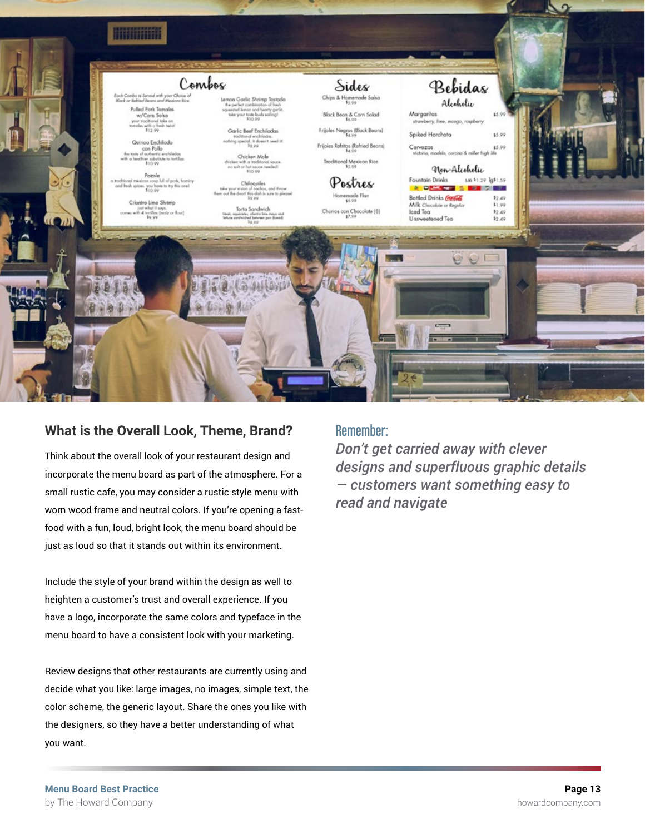

### **What is the Overall Look, Theme, Brand?**

Think about the overall look of your restaurant design and incorporate the menu board as part of the atmosphere. For a small rustic cafe, you may consider a rustic style menu with worn wood frame and neutral colors. If you're opening a fastfood with a fun, loud, bright look, the menu board should be just as loud so that it stands out within its environment.

Include the style of your brand within the design as well to heighten a customer's trust and overall experience. If you have a logo, incorporate the same colors and typeface in the menu board to have a consistent look with your marketing.

Review designs that other restaurants are currently using and decide what you like: large images, no images, simple text, the color scheme, the generic layout. Share the ones you like with the designers, so they have a better understanding of what you want.

### Remember:

*Don't get carried away with clever designs and superfluous graphic details — customers want something easy to read and navigate*